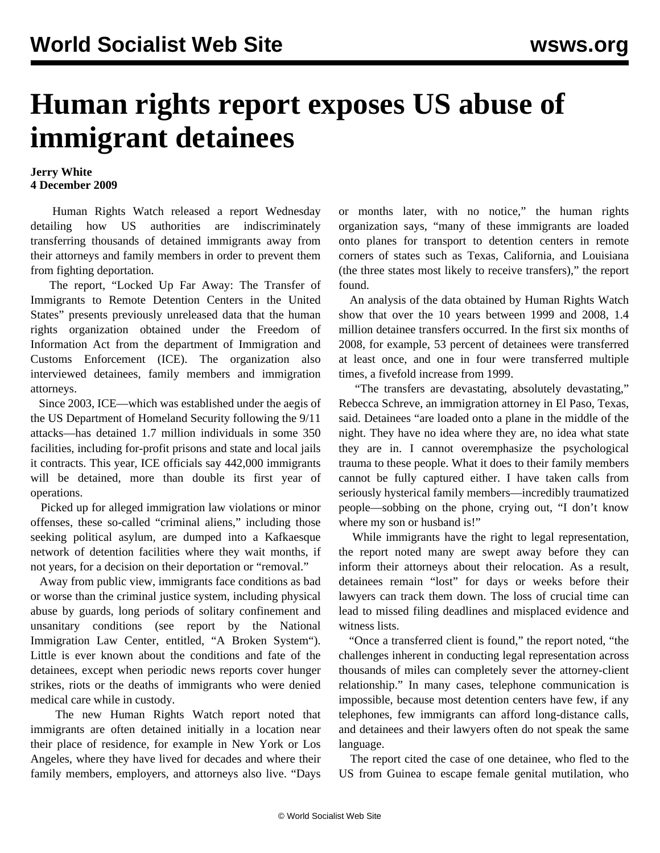## **Human rights report exposes US abuse of immigrant detainees**

## **Jerry White 4 December 2009**

 Human Rights Watch released a report Wednesday detailing how US authorities are indiscriminately transferring thousands of detained immigrants away from their attorneys and family members in order to prevent them from fighting deportation.

 The report, ["Locked Up Far Away: The Transfer of](http://www.hrw.org/en/node/86789) [Immigrants to Remote Detention Centers in the United](http://www.hrw.org/en/node/86789) [States"](http://www.hrw.org/en/node/86789) presents previously unreleased data that the human rights organization obtained under the Freedom of Information Act from the department of Immigration and Customs Enforcement (ICE). The organization also interviewed detainees, family members and immigration attorneys.

 Since 2003, ICE—which was established under the aegis of the US Department of Homeland Security following the 9/11 attacks—has detained 1.7 million individuals in some 350 facilities, including for-profit prisons and state and local jails it contracts. This year, ICE officials say 442,000 immigrants will be detained, more than double its first year of operations.

 Picked up for alleged immigration law violations or minor offenses, these so-called "criminal aliens," including those seeking political asylum, are dumped into a Kafkaesque network of detention facilities where they wait months, if not years, for a decision on their deportation or "removal."

 Away from public view, immigrants face conditions as bad or worse than the criminal justice system, including physical abuse by guards, long periods of solitary confinement and unsanitary conditions (see report by the National Immigration Law Center, entitled, "[A Broken System](http://www.nilc.org/immlawpolicy/arrestdet/A-Broken-System-2009-07.pdf)"). Little is ever known about the conditions and fate of the detainees, except when periodic news reports cover hunger strikes, riots or the deaths of immigrants who were denied medical care while in custody.

 The new Human Rights Watch report noted that immigrants are often detained initially in a location near their place of residence, for example in New York or Los Angeles, where they have lived for decades and where their family members, employers, and attorneys also live. "Days

or months later, with no notice," the human rights organization says, "many of these immigrants are loaded onto planes for transport to detention centers in remote corners of states such as Texas, California, and Louisiana (the three states most likely to receive transfers)," the report found.

 An analysis of the data obtained by Human Rights Watch show that over the 10 years between 1999 and 2008, 1.4 million detainee transfers occurred. In the first six months of 2008, for example, 53 percent of detainees were transferred at least once, and one in four were transferred multiple times, a fivefold increase from 1999.

 "The transfers are devastating, absolutely devastating," Rebecca Schreve, an immigration attorney in El Paso, Texas, said. Detainees "are loaded onto a plane in the middle of the night. They have no idea where they are, no idea what state they are in. I cannot overemphasize the psychological trauma to these people. What it does to their family members cannot be fully captured either. I have taken calls from seriously hysterical family members—incredibly traumatized people—sobbing on the phone, crying out, "I don't know where my son or husband is!"

 While immigrants have the right to legal representation, the report noted many are swept away before they can inform their attorneys about their relocation. As a result, detainees remain "lost" for days or weeks before their lawyers can track them down. The loss of crucial time can lead to missed filing deadlines and misplaced evidence and witness lists.

 "Once a transferred client is found," the report noted, "the challenges inherent in conducting legal representation across thousands of miles can completely sever the attorney-client relationship." In many cases, telephone communication is impossible, because most detention centers have few, if any telephones, few immigrants can afford long-distance calls, and detainees and their lawyers often do not speak the same language.

 The report cited the case of one detainee, who fled to the US from Guinea to escape female genital mutilation, who